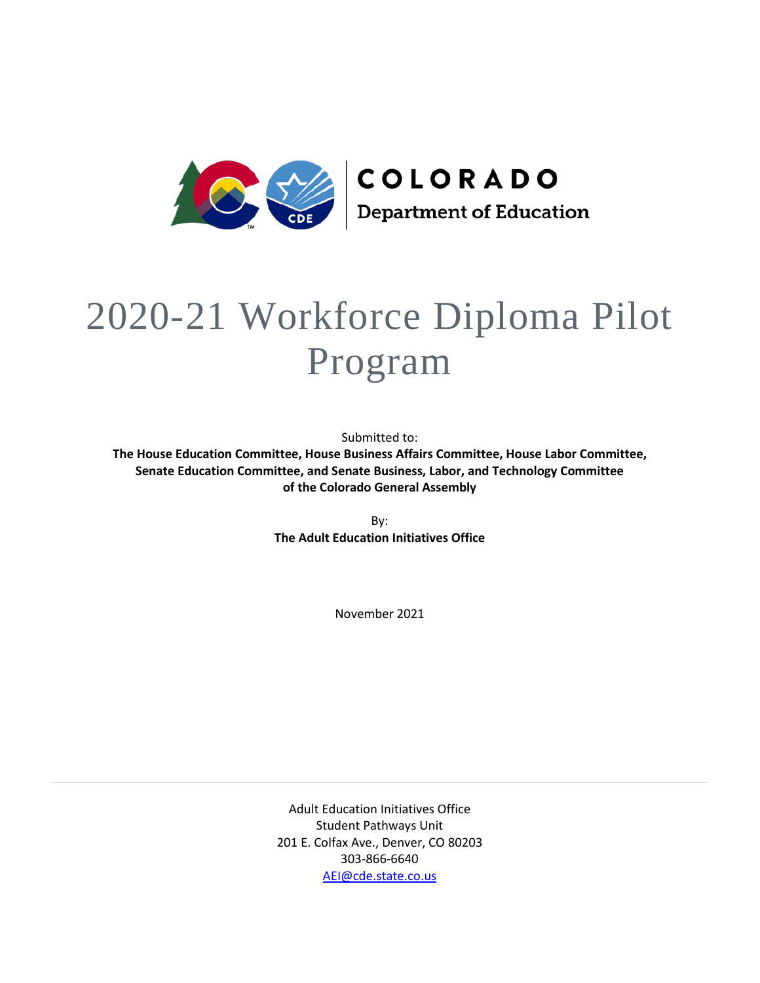

# 2020-21 Workforce Diploma Pilot Program

Submitted to:

**The House Education Committee, House Business Affairs Committee, House Labor Committee, Senate Education Committee, and Senate Business, Labor, and Technology Committee of the Colorado General Assembly**

> By: **The Adult Education Initiatives Office**

> > November 2021

Adult Education Initiatives Office Student Pathways Unit 201 E. Colfax Ave., Denver, CO 80203 303-866-6640 [AEI@cde.state.co.us](mailto:AEI@cde.state.co.us)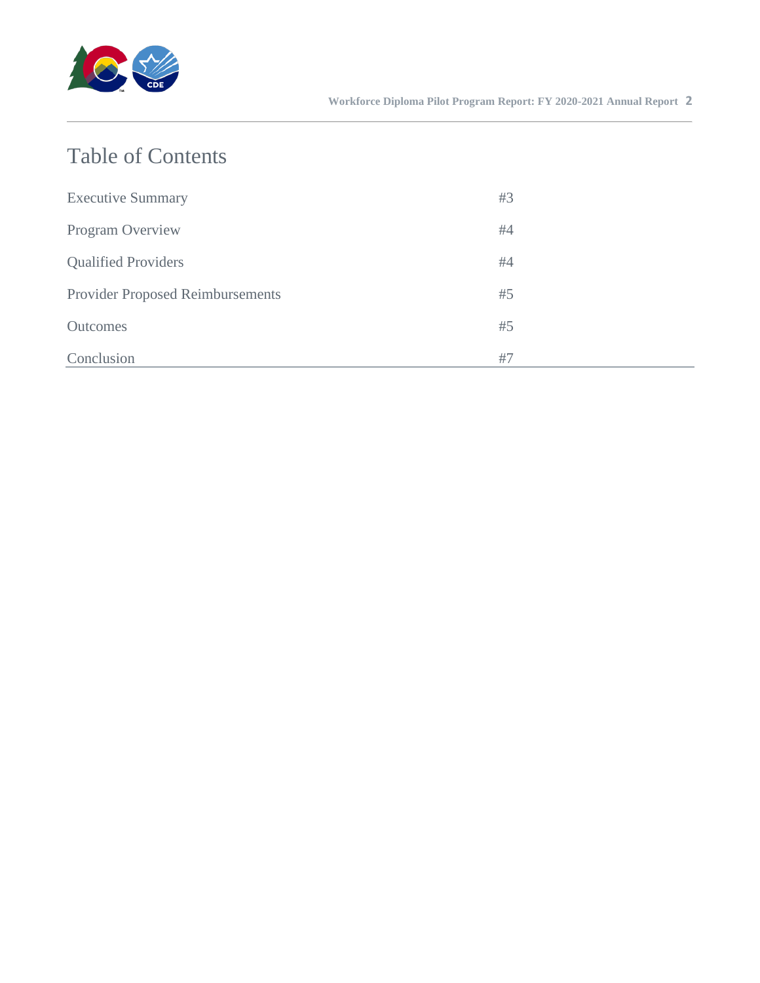

## Table of Contents

| <b>Executive Summary</b>                | #3 |
|-----------------------------------------|----|
| Program Overview                        | #4 |
| <b>Qualified Providers</b>              | #4 |
| <b>Provider Proposed Reimbursements</b> | #5 |
| <b>Outcomes</b>                         | #5 |
| Conclusion                              | #7 |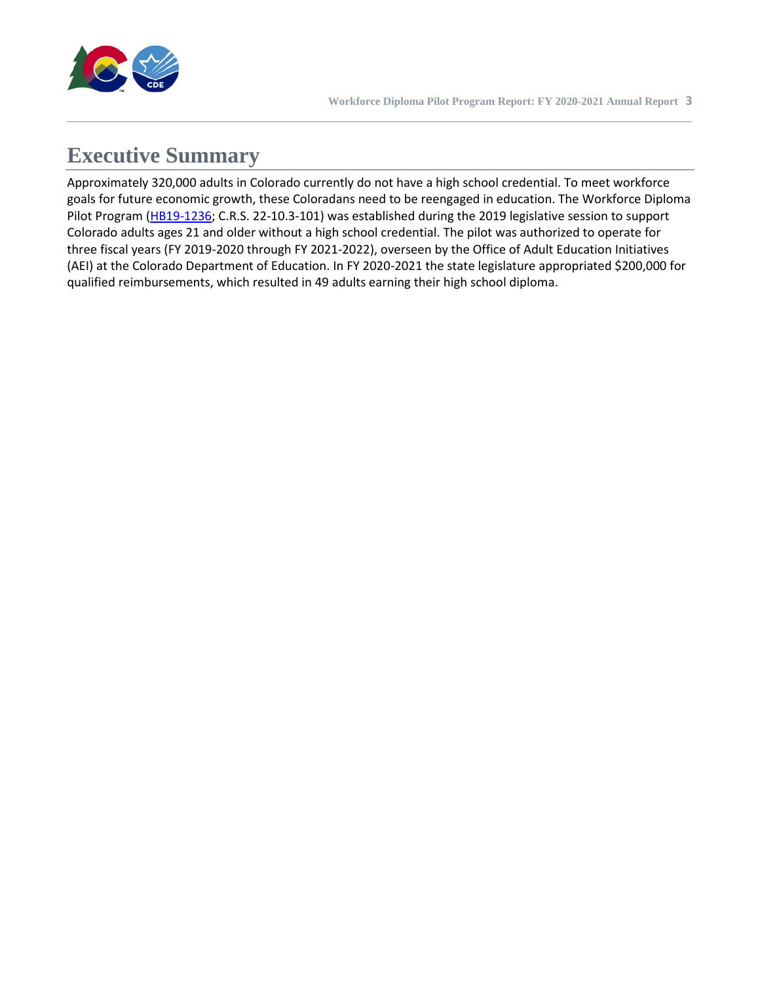

## **Executive Summary**

Approximately 320,000 adults in Colorado currently do not have a high school credential. To meet workforce goals for future economic growth, these Coloradans need to be reengaged in education. The Workforce Diploma Pilot Program [\(HB19-1236;](http://leg.colorado.gov/bills/hb19-1236) C.R.S. 22-10.3-101) was established during the 2019 legislative session to support Colorado adults ages 21 and older without a high school credential. The pilot was authorized to operate for three fiscal years (FY 2019-2020 through FY 2021-2022), overseen by the Office of Adult Education Initiatives (AEI) at the Colorado Department of Education. In FY 2020-2021 the state legislature appropriated \$200,000 for qualified reimbursements, which resulted in 49 adults earning their high school diploma.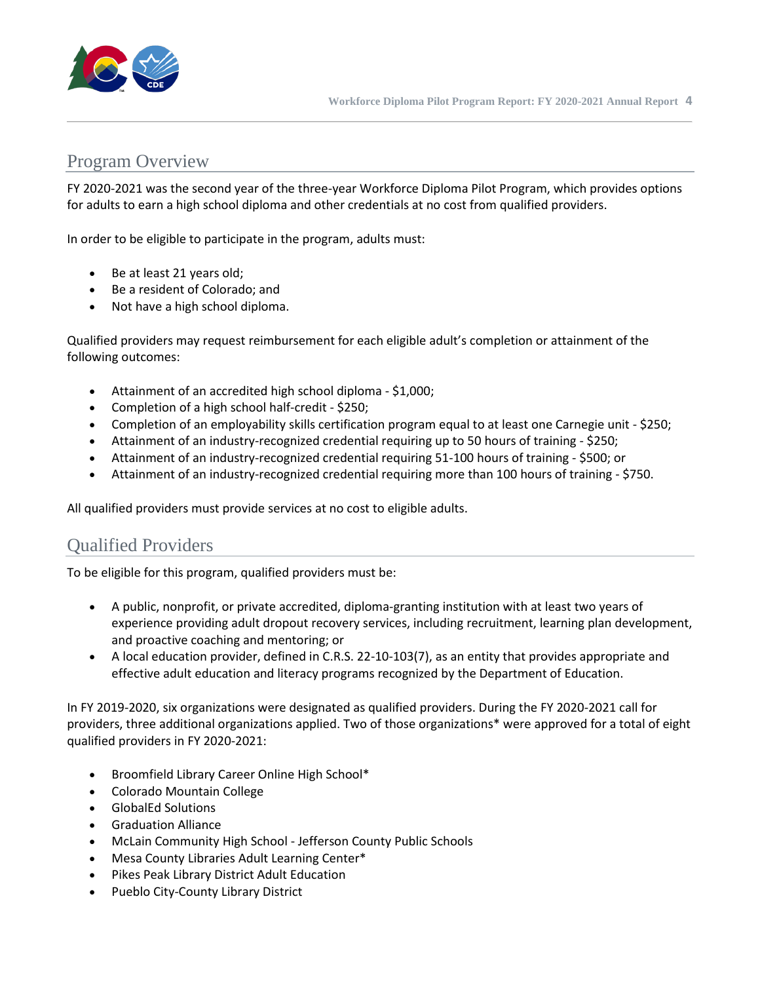

#### Program Overview

FY 2020-2021 was the second year of the three-year Workforce Diploma Pilot Program, which provides options for adults to earn a high school diploma and other credentials at no cost from qualified providers.

In order to be eligible to participate in the program, adults must:

- Be at least 21 years old;
- Be a resident of Colorado; and
- Not have a high school diploma.

Qualified providers may request reimbursement for each eligible adult's completion or attainment of the following outcomes:

- Attainment of an accredited high school diploma \$1,000;
- Completion of a high school half-credit \$250;
- Completion of an employability skills certification program equal to at least one Carnegie unit \$250;
- Attainment of an industry-recognized credential requiring up to 50 hours of training \$250;
- Attainment of an industry-recognized credential requiring 51-100 hours of training \$500; or
- Attainment of an industry-recognized credential requiring more than 100 hours of training \$750.

All qualified providers must provide services at no cost to eligible adults.

#### Qualified Providers

To be eligible for this program, qualified providers must be:

- A public, nonprofit, or private accredited, diploma-granting institution with at least two years of experience providing adult dropout recovery services, including recruitment, learning plan development, and proactive coaching and mentoring; or
- A local education provider, defined in C.R.S. 22-10-103(7), as an entity that provides appropriate and effective adult education and literacy programs recognized by the Department of Education.

In FY 2019-2020, six organizations were designated as qualified providers. During the FY 2020-2021 call for providers, three additional organizations applied. Two of those organizations\* were approved for a total of eight qualified providers in FY 2020-2021:

- Broomfield Library Career Online High School\*
- Colorado Mountain College
- GlobalEd Solutions
- Graduation Alliance
- McLain Community High School Jefferson County Public Schools
- Mesa County Libraries Adult Learning Center\*
- Pikes Peak Library District Adult Education
- Pueblo City-County Library District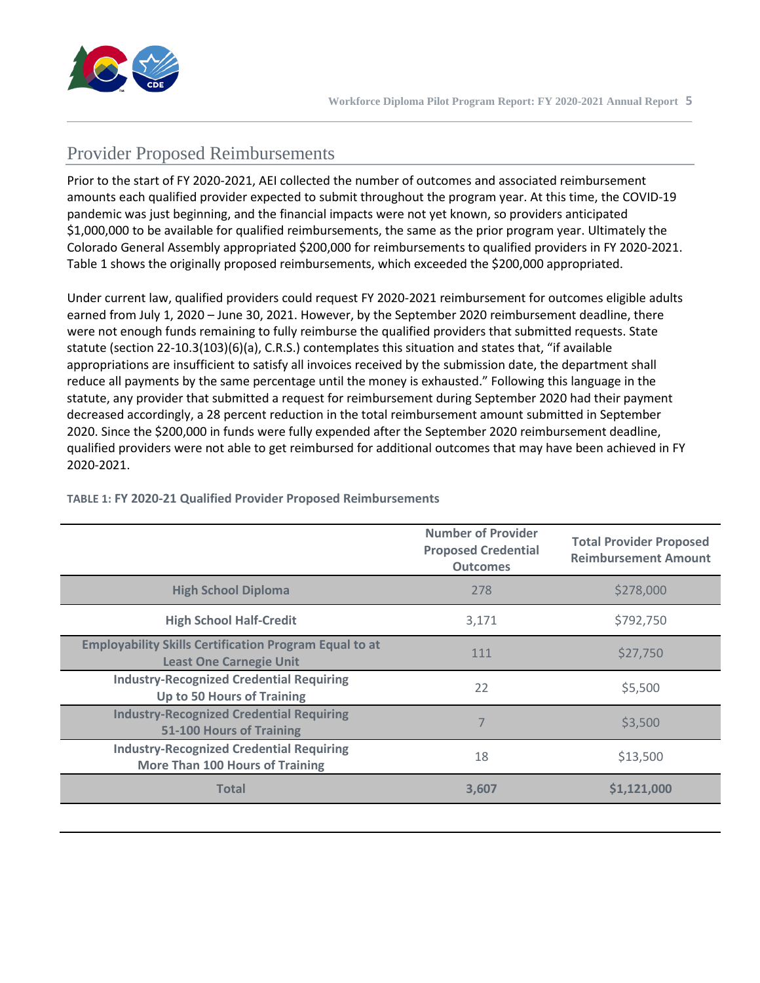

### Provider Proposed Reimbursements

Prior to the start of FY 2020-2021, AEI collected the number of outcomes and associated reimbursement amounts each qualified provider expected to submit throughout the program year. At this time, the COVID-19 pandemic was just beginning, and the financial impacts were not yet known, so providers anticipated \$1,000,000 to be available for qualified reimbursements, the same as the prior program year. Ultimately the Colorado General Assembly appropriated \$200,000 for reimbursements to qualified providers in FY 2020-2021. Table 1 shows the originally proposed reimbursements, which exceeded the \$200,000 appropriated.

Under current law, qualified providers could request FY 2020-2021 reimbursement for outcomes eligible adults earned from July 1, 2020 – June 30, 2021. However, by the September 2020 reimbursement deadline, there were not enough funds remaining to fully reimburse the qualified providers that submitted requests. State statute (section 22-10.3(103)(6)(a), C.R.S.) contemplates this situation and states that, "if available appropriations are insufficient to satisfy all invoices received by the submission date, the department shall reduce all payments by the same percentage until the money is exhausted." Following this language in the statute, any provider that submitted a request for reimbursement during September 2020 had their payment decreased accordingly, a 28 percent reduction in the total reimbursement amount submitted in September 2020. Since the \$200,000 in funds were fully expended after the September 2020 reimbursement deadline, qualified providers were not able to get reimbursed for additional outcomes that may have been achieved in FY 2020-2021.

|                                                                                                 | <b>Number of Provider</b><br><b>Proposed Credential</b><br><b>Outcomes</b> | <b>Total Provider Proposed</b><br><b>Reimbursement Amount</b> |
|-------------------------------------------------------------------------------------------------|----------------------------------------------------------------------------|---------------------------------------------------------------|
| <b>High School Diploma</b>                                                                      | 278                                                                        | \$278,000                                                     |
| <b>High School Half-Credit</b>                                                                  | 3,171                                                                      | \$792,750                                                     |
| <b>Employability Skills Certification Program Equal to at</b><br><b>Least One Carnegie Unit</b> | 111                                                                        | \$27,750                                                      |
| <b>Industry-Recognized Credential Requiring</b><br><b>Up to 50 Hours of Training</b>            | 22                                                                         | \$5,500                                                       |
| <b>Industry-Recognized Credential Requiring</b><br>51-100 Hours of Training                     | 7                                                                          | \$3,500                                                       |
| <b>Industry-Recognized Credential Requiring</b><br><b>More Than 100 Hours of Training</b>       | 18                                                                         | \$13,500                                                      |
| <b>Total</b>                                                                                    | 3,607                                                                      | \$1,121,000                                                   |

#### **TABLE 1: FY 2020-21 Qualified Provider Proposed Reimbursements**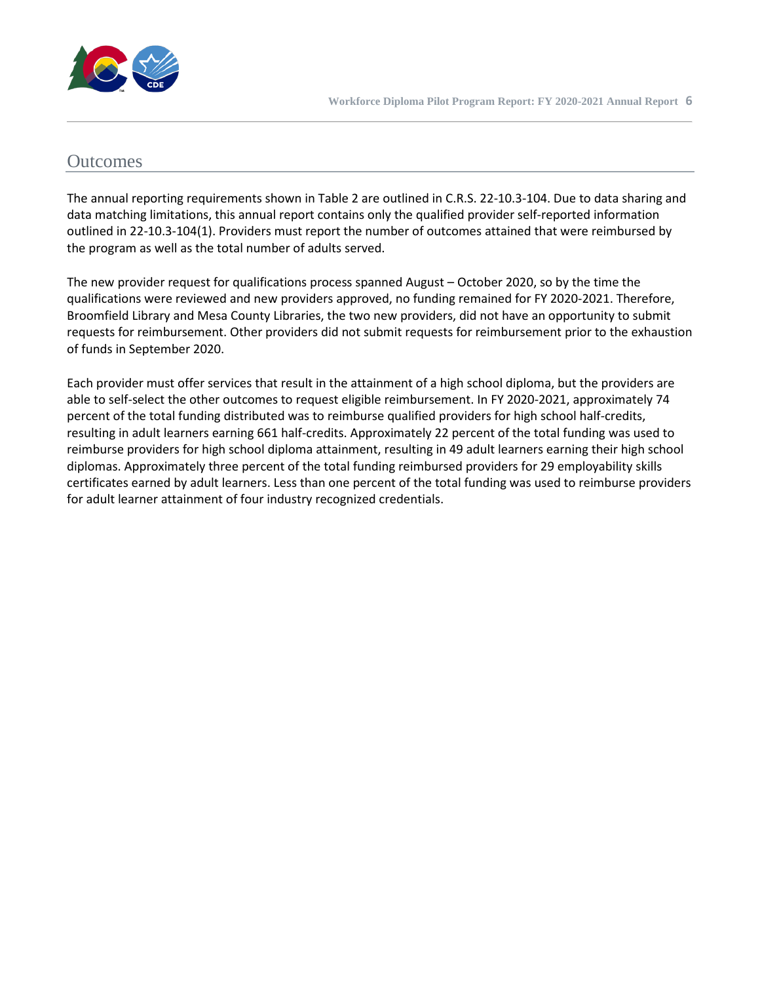

#### **Outcomes**

The annual reporting requirements shown in Table 2 are outlined in C.R.S. 22-10.3-104. Due to data sharing and data matching limitations, this annual report contains only the qualified provider self-reported information outlined in 22-10.3-104(1). Providers must report the number of outcomes attained that were reimbursed by the program as well as the total number of adults served.

The new provider request for qualifications process spanned August – October 2020, so by the time the qualifications were reviewed and new providers approved, no funding remained for FY 2020-2021. Therefore, Broomfield Library and Mesa County Libraries, the two new providers, did not have an opportunity to submit requests for reimbursement. Other providers did not submit requests for reimbursement prior to the exhaustion of funds in September 2020.

Each provider must offer services that result in the attainment of a high school diploma, but the providers are able to self-select the other outcomes to request eligible reimbursement. In FY 2020-2021, approximately 74 percent of the total funding distributed was to reimburse qualified providers for high school half-credits, resulting in adult learners earning 661 half-credits. Approximately 22 percent of the total funding was used to reimburse providers for high school diploma attainment, resulting in 49 adult learners earning their high school diplomas. Approximately three percent of the total funding reimbursed providers for 29 employability skills certificates earned by adult learners. Less than one percent of the total funding was used to reimburse providers for adult learner attainment of four industry recognized credentials.